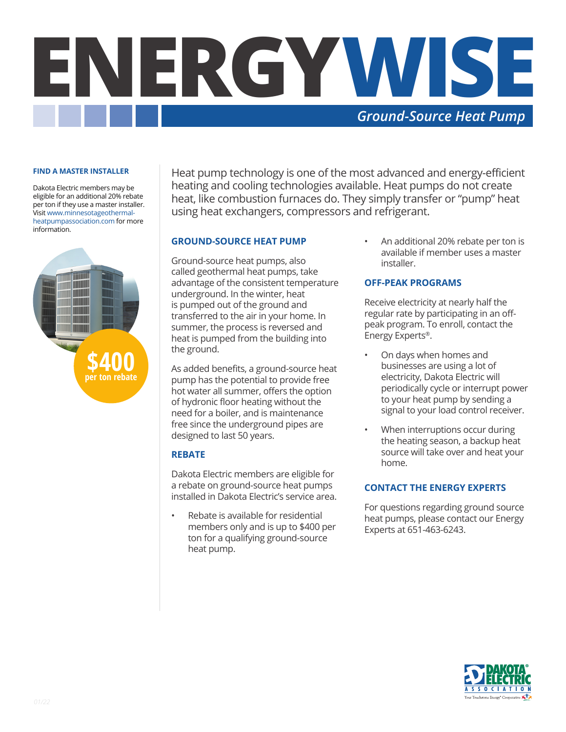

#### **FIND A MASTER INSTALLER**

Dakota Electric members may be eligible for an additional 20% rebate per ton if they use a master installer. Visit www.minnesotageothermalheatpumpassociation.com for more information.



Heat pump technology is one of the most advanced and energy-efficient heating and cooling technologies available. Heat pumps do not create heat, like combustion furnaces do. They simply transfer or "pump" heat using heat exchangers, compressors and refrigerant.

#### **GROUND-SOURCE HEAT PUMP**

Ground-source heat pumps, also called geothermal heat pumps, take advantage of the consistent temperature underground. In the winter, heat is pumped out of the ground and transferred to the air in your home. In summer, the process is reversed and heat is pumped from the building into the ground.

As added benefits, a ground-source heat pump has the potential to provide free hot water all summer, offers the option of hydronic floor heating without the need for a boiler, and is maintenance free since the underground pipes are designed to last 50 years.

## **REBATE**

Dakota Electric members are eligible for a rebate on ground-source heat pumps installed in Dakota Electric's service area.

Rebate is available for residential members only and is up to \$400 per ton for a qualifying ground-source heat pump.

• An additional 20% rebate per ton is available if member uses a master installer.

#### **OFF-PEAK PROGRAMS**

Receive electricity at nearly half the regular rate by participating in an offpeak program. To enroll, contact the Energy Experts®.

- On days when homes and businesses are using a lot of electricity, Dakota Electric will periodically cycle or interrupt power to your heat pump by sending a signal to your load control receiver.
- When interruptions occur during the heating season, a backup heat source will take over and heat your home.

### **CONTACT THE ENERGY EXPERTS**

For questions regarding ground source heat pumps, please contact our Energy Experts at 651-463-6243.